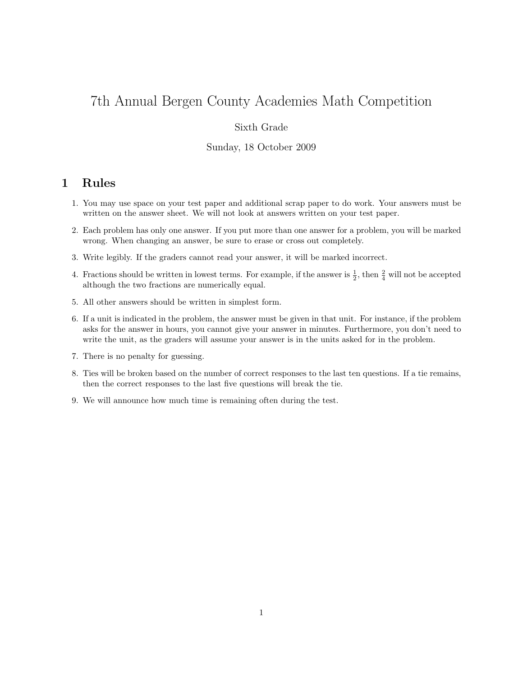# 7th Annual Bergen County Academies Math Competition

## Sixth Grade

#### Sunday, 18 October 2009

# 1 Rules

- 1. You may use space on your test paper and additional scrap paper to do work. Your answers must be written on the answer sheet. We will not look at answers written on your test paper.
- 2. Each problem has only one answer. If you put more than one answer for a problem, you will be marked wrong. When changing an answer, be sure to erase or cross out completely.
- 3. Write legibly. If the graders cannot read your answer, it will be marked incorrect.
- 4. Fractions should be written in lowest terms. For example, if the answer is  $\frac{1}{2}$ , then  $\frac{2}{4}$  will not be accepted although the two fractions are numerically equal.
- 5. All other answers should be written in simplest form.
- 6. If a unit is indicated in the problem, the answer must be given in that unit. For instance, if the problem asks for the answer in hours, you cannot give your answer in minutes. Furthermore, you don't need to write the unit, as the graders will assume your answer is in the units asked for in the problem.
- 7. There is no penalty for guessing.
- 8. Ties will be broken based on the number of correct responses to the last ten questions. If a tie remains, then the correct responses to the last five questions will break the tie.
- 9. We will announce how much time is remaining often during the test.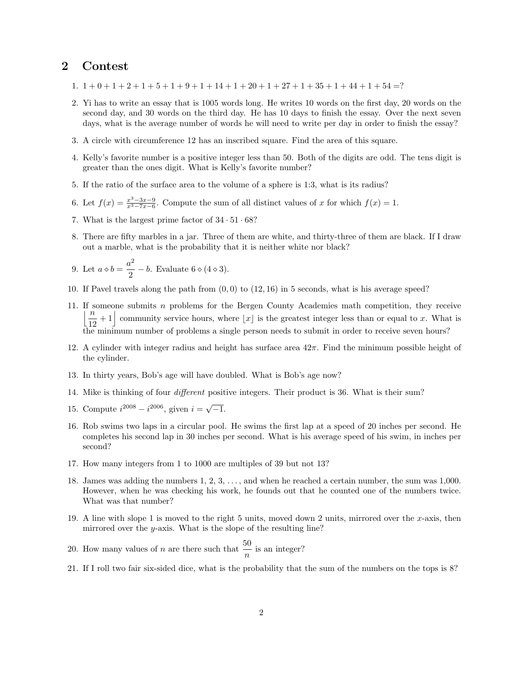## 2 Contest

- 1.  $1+0+1+2+1+5+1+9+1+14+1+20+1+27+1+35+1+44+1+54=?$
- 2. Yi has to write an essay that is 1005 words long. He writes 10 words on the first day, 20 words on the second day, and 30 words on the third day. He has 10 days to finish the essay. Over the next seven days, what is the average number of words he will need to write per day in order to finish the essay?
- 3. A circle with circumference 12 has an inscribed square. Find the area of this square.
- 4. Kelly's favorite number is a positive integer less than 50. Both of the digits are odd. The tens digit is greater than the ones digit. What is Kelly's favorite number?
- 5. If the ratio of the surface area to the volume of a sphere is 1:3, what is its radius?
- 6. Let  $f(x) = \frac{x^3 3x 9}{x^3 7x 6}$ . Compute the sum of all distinct values of x for which  $f(x) = 1$ .
- 7. What is the largest prime factor of  $34 \cdot 51 \cdot 68$ ?
- 8. There are fifty marbles in a jar. Three of them are white, and thirty-three of them are black. If I draw out a marble, what is the probability that it is neither white nor black?

9. Let 
$$
a \diamond b = \frac{a^2}{2} - b
$$
. Evaluate  $6 \diamond (4 \diamond 3)$ .

- 10. If Pavel travels along the path from  $(0, 0)$  to  $(12, 16)$  in 5 seconds, what is his average speed?
- 11. If someone submits n problems for the Bergen County Academies math competition, they receive  $\sqrt[n]{\frac{n}{n}}$  $\frac{n}{12}+1$  community service hours, where  $\lfloor x \rfloor$  is the greatest integer less than or equal to x. What is the minimum number of problems a single person needs to submit in order to receive seven hours?
- 12. A cylinder with integer radius and height has surface area  $42\pi$ . Find the minimum possible height of the cylinder.
- 13. In thirty years, Bob's age will have doubled. What is Bob's age now?
- 14. Mike is thinking of four different positive integers. Their product is 36. What is their sum?
- 15. Compute  $i^{2008} i^{2006}$ , given  $i = \sqrt{-1}$ .
- 16. Rob swims two laps in a circular pool. He swims the first lap at a speed of 20 inches per second. He completes his second lap in 30 inches per second. What is his average speed of his swim, in inches per second?
- 17. How many integers from 1 to 1000 are multiples of 39 but not 13?
- 18. James was adding the numbers 1, 2, 3, . . . , and when he reached a certain number, the sum was 1,000. However, when he was checking his work, he founds out that he counted one of the numbers twice. What was that number?
- 19. A line with slope 1 is moved to the right 5 units, moved down 2 units, mirrored over the x-axis, then mirrored over the  $y$ -axis. What is the slope of the resulting line?
- 20. How many values of *n* are there such that  $\frac{50}{n}$  is an integer?
- 21. If I roll two fair six-sided dice, what is the probability that the sum of the numbers on the tops is 8?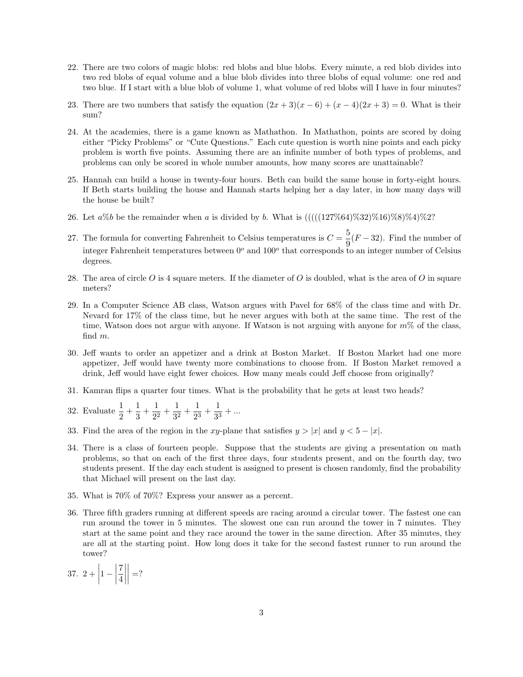- 22. There are two colors of magic blobs: red blobs and blue blobs. Every minute, a red blob divides into two red blobs of equal volume and a blue blob divides into three blobs of equal volume: one red and two blue. If I start with a blue blob of volume 1, what volume of red blobs will I have in four minutes?
- 23. There are two numbers that satisfy the equation  $(2x+3)(x-6)+(x-4)(2x+3)=0$ . What is their sum?
- 24. At the academies, there is a game known as Mathathon. In Mathathon, points are scored by doing either "Picky Problems" or "Cute Questions." Each cute question is worth nine points and each picky problem is worth five points. Assuming there are an infinite number of both types of problems, and problems can only be scored in whole number amounts, how many scores are unattainable?
- 25. Hannah can build a house in twenty-four hours. Beth can build the same house in forty-eight hours. If Beth starts building the house and Hannah starts helping her a day later, in how many days will the house be built?
- 26. Let  $a\%b$  be the remainder when a is divided by b. What is  $((((127\%64)\%32)\%16)\%8)\%4)\%2$ ?
- 27. The formula for converting Fahrenheit to Celsius temperatures is  $C = \frac{5}{6}$  $\frac{9}{9}(F-32)$ . Find the number of integer Fahrenheit temperatures between  $0^{\circ}$  and  $100^{\circ}$  that corresponds to an integer number of Celsius degrees.
- 28. The area of circle  $O$  is 4 square meters. If the diameter of  $O$  is doubled, what is the area of  $O$  in square meters?
- 29. In a Computer Science AB class, Watson argues with Pavel for 68% of the class time and with Dr. Nevard for 17% of the class time, but he never argues with both at the same time. The rest of the time, Watson does not argue with anyone. If Watson is not arguing with anyone for  $m\%$  of the class, find m.
- 30. Jeff wants to order an appetizer and a drink at Boston Market. If Boston Market had one more appetizer, Jeff would have twenty more combinations to choose from. If Boston Market removed a drink, Jeff would have eight fewer choices. How many meals could Jeff choose from originally?
- 31. Kamran flips a quarter four times. What is the probability that he gets at least two heads?
- 32. Evaluate  $\frac{1}{2} + \frac{1}{3}$  $\frac{1}{3} + \frac{1}{2^2}$  $\frac{1}{2^2} + \frac{1}{3^2}$  $\frac{1}{3^2} + \frac{1}{2^3}$  $\frac{1}{2^3} + \frac{1}{3^3}$  $\frac{1}{3^3} + ...$
- 33. Find the area of the region in the xy-plane that satisfies  $y > |x|$  and  $y < 5 |x|$ .
- 34. There is a class of fourteen people. Suppose that the students are giving a presentation on math problems, so that on each of the first three days, four students present, and on the fourth day, two students present. If the day each student is assigned to present is chosen randomly, find the probability that Michael will present on the last day.
- 35. What is 70% of 70%? Express your answer as a percent.
- 36. Three fifth graders running at different speeds are racing around a circular tower. The fastest one can run around the tower in 5 minutes. The slowest one can run around the tower in 7 minutes. They start at the same point and they race around the tower in the same direction. After 35 minutes, they are all at the starting point. How long does it take for the second fastest runner to run around the tower?
- 37.  $2 +$  $1 - \Bigg|$ 7 4  $\begin{array}{c} \begin{array}{c} \begin{array}{c} \end{array} \\ \begin{array}{c} \end{array} \end{array} \end{array}$  $\begin{array}{c} \begin{array}{c} \begin{array}{c} \end{array}\\ \begin{array}{c} \end{array} \end{array} \end{array}$  $=$ ?